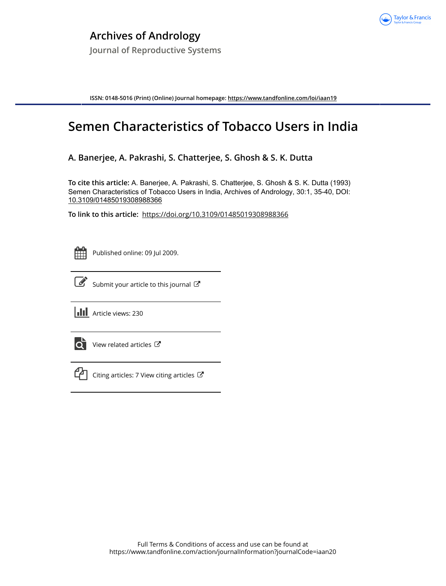

**ISSN: 0148-5016 (Print) (Online) Journal homepage:<https://www.tandfonline.com/loi/iaan19>**

# **Semen Characteristics of Tobacco Users in India**

## **A. Banerjee, A. Pakrashi, S. Chatterjee, S. Ghosh & S. K. Dutta**

**To cite this article:** A. Banerjee, A. Pakrashi, S. Chatterjee, S. Ghosh & S. K. Dutta (1993) Semen Characteristics of Tobacco Users in India, Archives of Andrology, 30:1, 35-40, DOI: [10.3109/01485019308988366](https://www.tandfonline.com/action/showCitFormats?doi=10.3109/01485019308988366)

**To link to this article:** <https://doi.org/10.3109/01485019308988366>



Published online: 09 Jul 2009.



 $\overrightarrow{S}$  [Submit your article to this journal](https://www.tandfonline.com/action/authorSubmission?journalCode=iaan20&show=instructions)  $\overrightarrow{S}$ 

**Article views: 230** 



 $\overrightarrow{O}$  [View related articles](https://www.tandfonline.com/doi/mlt/10.3109/01485019308988366)  $\overrightarrow{C}$ 



 $\mathbb{C}$  [Citing articles: 7 View citing articles](https://www.tandfonline.com/doi/citedby/10.3109/01485019308988366#tabModule)  $\mathbb{C}$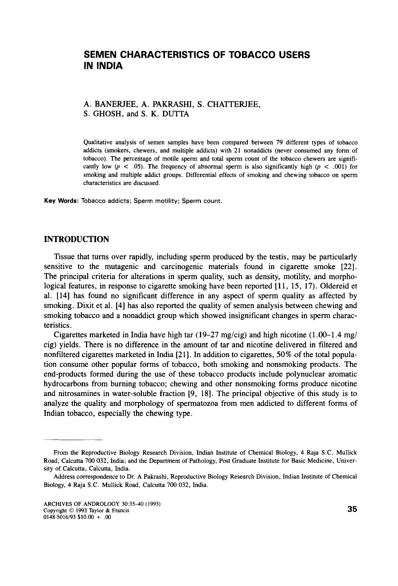### **SEMEN CHARACTERISTICS OF TOBACCO USERS IN INDIA**

#### A. BANERJEE, A. PAKRASHI, S. CHATTERJEE, **S.** GHOSH, and *S.* K. DUTTA

Qualitative analysis of semen samples have been compared between 79 different **types** of tobacco addicts (smokers, chewers, and multiple addicts) with **21** nonaddicts (never consumed any form of tobacco). The percentage of motile sperm and total sperm count of the tobacco chewers are significantly low ( $p < .05$ ). The frequency of abnormal sperm is also significantly high ( $p < .001$ ) for smoking and multiple addict groups. Differential effects of smoking and chewing tobacco on sperm characteristics are discussed.

**Key Words:** Tobacco addicts; Sperm motility; Sperm count.

#### **INTRODUCTION**

Tissue that turns over rapidly, including sperm produced by the testis, may be particularly sensitive to the mutagenic and carcinogenic materials found in cigarette smoke **[22].**  The principal criteria for alterations in sperm quality, such as density, motility, and morphological features, in response to cigarette smoking have been reported **[ll, 15, 17).** Oldereid et al. **[14]** has found no significant difference in any aspect of sperm quality as affected by smoking. Dixit et al. **[4]** has also reported the quality of semen analysis between chewing and smoking tobacco and a nonaddict group which showed insignificant changes in sperm characteristics.

Cigarettes marketed in India have high tar **(19-27** mg/cig) and high nicotine **(1.00-1.4** mg/ cig) yields. There is no difference in the amount of tar and nicotine delivered in filtered and nonfiltered cigarettes marketed in India **[21].** In addition to cigarettes, **50%** of the total population consume other popular forms of tobacco, both smoking and nonsmoking products. The end-products formed during the use of these tobacco products include polynuclear aromatic hydrocarbons from burning tobacco; chewing and other nonsmoking forms produce nicotine and nitrosamines in water-soluble fraction [9, **181.** The principal objective of this study is to analyze the quality and morphology of spermatozoa from men addicted to different forms of Indian tobacco, especially the chewing type.

From the Reproductive Biology Research Division, Indian Institute of Chemical Biology, **4** Raja S.C. Mullick Road, Calcutta 700 **032,** India; and the Department of Pathology, Post Graduate Institute for Basic Medicine, University of Calcutta, Calcutta, India.

Address correspondence to Dr. A Pakrashi, Reproductive Biology Research Division, Indian Institute of Chemical Biology, **4** Raja S.C. Mullick Road, Calcutta 700 **032,** India.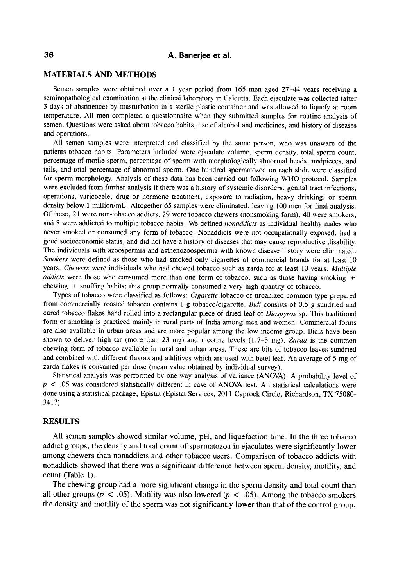#### **36 A. Banerjee et al.**

#### **MATERIALS AND METHODS**

Semen samples were obtained over a 1 year period from 165 men aged 27-44 years receiving a seminopathological examination at the clinical laboratory in Calcutta. Each ejaculate was collected (after 3 days of abstinence) by masturbation in a sterile plastic container and was allowed to liquefy at room temperature. All men completed a questionnaire when they submitted samples for routine analysis of semen. Questions were asked about tobacco habits, use of alcohol and medicines, and history of diseases and operations.

All semen samples were interpreted and classified by the same person, who was unaware of the patients tobacco habits. Parameters included were ejaculate volume, sperm density, total sperm count, percentage of motile sperm, percentage of sperm with morphologically abnormal heads, midpieces, and tails, and total percentage of abnormal sperm. One hundred spermatozoa on each slide were classified for sperm morphology. Analysis of these data has been carried out following **WHO** protocol. Samples were excluded from further analysis if there was a history of systemic disorders, genital tract infections, operations, varicocele, drug or hormone treatment, exposure to radiation, heavy drinking, or sperm density below **1** million/mL. Altogether 65 samples were eliminated, leaving 100 men for final analysis. Of these, 21 were non-tobacco addicts, **29** were tobacco chewers (nonsmoking form), 40 were smokers, and 8 were addicted to multiple tobacco habits. We defined *nonaddicts* as individual healthy males who never smoked or consumed any form of tobacco. Nonaddicts were not occupationally exposed, had a good socioeconomic status, and did not have a history of diseases that may cause reproductive disability. The individuals with azoospermia and asthenozoospermia with known disease history were eliminated. *Smokers* were defined as those who had smoked only cigarettes of commercial brands for at least 10 years. *Chewers* were individuals who had chewed tobacco such as zarda for at least 10 years. *Multiple addicts* were those who consumed more than one form of tobacco, such as those having smoking + chewing + snuffing habits; this group normally consumed a very high quantity of tobacco.

Types of tobacco were classified as follows: *Cigarette* tobacco of urbanized common type prepared from commercially roasted tobacco contains **1** g tobacco/cigarette. *Bidi* consists of 0.5 g sundried and cured tobacco flakes hand rolled into a rectangular piece of dried leaf of *Diospyros* sp. This traditional form of smoking is practiced mainly in rural parts of India among men and women. Commercial forms are also available in urban areas and are more popular among the low income group. Bidis have been shown to deliver high tar (more than 23 mg) and nicotine levels (1.7-3 mg). *Zurda* is the common chewing form **of** tobacco available in rural and urban areas. These are bits of tobacco leaves sundried and combined with different flavors and additives which are used with betel leaf. An average of 5 mg of zarda flakes is consumed per dose (mean value obtained by individual survey).

Statistical analysis was performed by one-way analysis of variance (ANOVA). A probability level of  $p < .05$  was considered statistically different in case of ANOVA test. All statistical calculations were done using a statistical package, Epistat (Epistat Services, 2011 Caprock Circle, Richardson, TX 75080-3417).

#### **RESULTS**

All semen samples showed similar volume, pH, and liquefaction time. In the three tobacco addict groups, the density and total count of spermatozoa in ejaculates were significantly lower among chewers than nonaddicts and other tobacco users. Comparison of tobacco addicts with nonaddicts showed that there was a significant difference between sperm density, motility, and count (Table 1).

The chewing group had a more significant change in the sperm density and total count than all other groups ( $p < .05$ ). Motility was also lowered ( $p < .05$ ). Among the tobacco smokers the density and motility of the sperm was not significantly lower than that of the control group.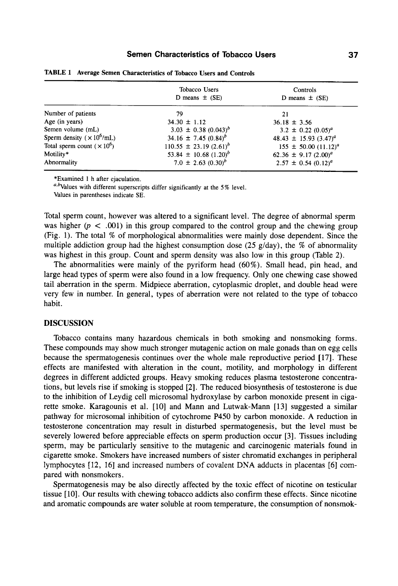|                                     | Tobacco Users<br>D means $\pm$ (SE)   | Controls<br>D means $\pm$ (SE)                    |
|-------------------------------------|---------------------------------------|---------------------------------------------------|
| Number of patients                  | 79                                    | 21                                                |
| Age (in years)                      | $34.30 \pm 1.12$                      | $36.18 \pm 3.56$                                  |
| Semen volume (mL)                   | $3.03 \pm 0.38 \ (0.043)^b$           | $3.2 \pm 0.22$ (0.05) <sup>a</sup>                |
| Sperm density ( $\times 10^6$ /mL)  | $34.16 \pm 7.45 (0.84)^b$             | 48.43 $\pm$ 15.93 (3.47) <sup>a</sup>             |
| Total sperm count ( $\times 10^6$ ) | $110.55 \pm 23.19 (2.61)^b$           | $155 \pm 50.00 (11.12)^a$                         |
| Motility*                           | 53.84 $\pm$ 10.68 (1.20) <sup>b</sup> | 62.36 $\pm$ 9.17 (2.00) <sup><math>a</math></sup> |
| Abnormality                         | $7.0 \pm 2.63 \ (0.30)^b$             | $2.57 \pm 0.54 \ (0.12)^a$                        |

**TABLE 1 Average Semen Characteristics of Tobacco Users and Controls** 

\*Examined 1 h after ejaculation.

 $a,b$ Values with different superscripts differ significantly at the 5% level.

Values in parentheses indicate SE.

Total sperm count, however was altered to a significant level. The degree of abnormal sperm was higher ( $p < .001$ ) in this group compared to the control group and the chewing group (Fig. 1). The total % of morphological abnormalities were mainly dose dependent. Since the multiple addiction group had the highest consumption dose  $(25 \text{ g/day})$ , the % of abnormality was highest in this group. Count and sperm density was also low in this group (Table *2).* 

The abnormalities were mainly of the pyriform head  $(60\%)$ . Small head, pin head, and large head types of sperm were also found in a low frequency. Only one chewing case showed tail aberration in the sperm. Midpiece aberration, cytoplasmic droplet, and double head were very few in number. In general, types of aberration were not related to the type of tobacco habit.

#### **DISCUSSION**

Tobacco contains many hazardous chemicals in both smoking and nonsmoking forms. These compounds may show much stronger mutagenic action on male gonads than on egg cells because the spermatogenesis continues over the whole male reproductive period [ 171. These effects are manifested with alteration in the count, motility, and morphology in different degrees in different addicted groups. Heavy smoking reduces plasma testosterone concentrations, but levels rise if smoking is stopped [2], The reduced biosynthesis of testosterone is due to the inhibition of Leydig cell microsomal hydroxylase by carbon monoxide present in cigarette smoke. Karagounis et al. [10] and Mann and Lutwak-Mann [13] suggested a similar pathway for microsomal inhibition of cytochrome P450 by carbon monoxide. **A** reduction in testosterone concentration may result in disturbed spermatogenesis, but the level must be severely lowered before appreciable effects on sperm production occur [3]. Tissues including sperm, may be particularly sensitive to the mutagenic and carcinogenic materials found in cigarette smoke. Smokers have increased numbers of sister chromatid exchanges in peripheral lymphocytes **[12,** 161 and increased numbers of covalent **DNA** adducts in placentas *[6]* compared with nonsmokers.

Spermatogenesis may be also directly affected by the toxic effect of nicotine on testicular tissue [lo]. Our results with chewing tobacco addicts also confirm these effects. Since nicotine and aromatic compounds are water soluble at room temperature, the consumption of nonsmok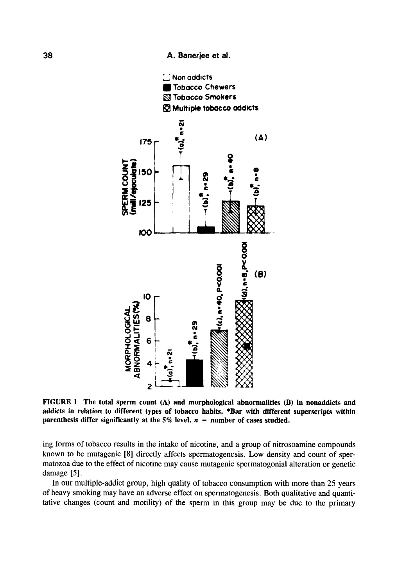**38 A. Banerjee et** *at.* 



**FIGURE 1 The total sperm count (A) and morphological abnormalities (B) in nonaddicts and addicts in relation to different types of tobacco habits. \*Bar with different superscripts within**  parenthesis differ significantly at the  $5\%$  level.  $n =$  number of cases studied.

ing forms of tobacco results **in** the intake of nicotine, and a group of nitrosoamine compounds known to be mutagenic **[8]** directly affects spermatogenesis. Low density and count of spermatozoa due to the effect of nicotine may cause mutagenic spermatogonial alteration or genetic damage *[5].* 

In our multiple-addict group, high quality of tobacco consumption with more than **25** years of heavy smoking may have an adverse effect on spermatogenesis. Both qualitative and quantitative changes (count and motility) of the sperm in this group may be due to the primary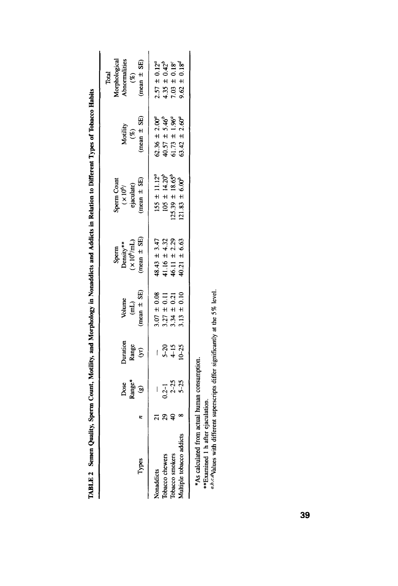| Types                    |    | $\mathsf{Range}^*$ (g)<br>Dose | Duration<br>Range<br>(yr)   | (mean $\pm$ SE)<br>Volume<br>(mL)                                        | $mean \pm$ SE)<br>Sperm<br>Density**<br>$(x 10^6/\text{mL})$ | (mean $\pm$ SE)<br>Sperm Count<br>$(x 10^6)$<br>ejaculate) | $(mean \pm SE)$<br>Motility<br>(%)                                                                        | Morphological                                               |
|--------------------------|----|--------------------------------|-----------------------------|--------------------------------------------------------------------------|--------------------------------------------------------------|------------------------------------------------------------|-----------------------------------------------------------------------------------------------------------|-------------------------------------------------------------|
| Nonaddicts               |    |                                | $\mathfrak{f}% _{0}$        |                                                                          | $48.43 \pm 3.47$                                             | $155 \pm 11.12^a$                                          |                                                                                                           |                                                             |
| <b>Tobacco</b> chewers   | 29 |                                |                             |                                                                          | ± 4.32                                                       | $105 \pm 14.20^b$                                          |                                                                                                           |                                                             |
| Tobacco smokers          |    | $0.2-1$<br>$2-25$<br>$5-25$    | $5-20$<br>$4-15$<br>$10-25$ | $3.07 \pm 0.08$<br>$3.27 \pm 0.11$<br>$3.34 \pm 0.21$<br>$3.13 \pm 0.21$ | 41.16 ± 4.32<br>46.11 ± 2.29                                 | $125.39 \pm 18.65^{b}$                                     | $62.36 \pm 2.00^a$<br>40.57 ± 5.46 <sup>b</sup><br>61.73 ± 1.96 <sup>a</sup><br>63.42 ± 2.60 <sup>a</sup> | $2.57 \pm 0.12^a$<br>$4.35 \pm 0.42^b$<br>$7.03 \pm 0.18^c$ |
| Multiple tobacco addicts |    |                                |                             |                                                                          | $40.21 \pm 6.63$                                             | $121.83 \pm 6.00^{b}$                                      |                                                                                                           | 9.62                                                        |

TABLE 2 Semen Quality, Sperm Count, Motility, and Morphology in Nonaddicts and Addicts in Relation to Different Types of Tobacco Habits **TABLE 2 Semen Quality, Sperm Count, Motility, and Morphology in Nonaddicts and Addicts in Relation to Different Types of Tobacco Habits** 

 $*$ As calculate

\*As calculated from actual human consumption.<br>\*\*Examined 1 h after ejaculation.<br> $a^{b,cA}$ Values with different superscripts differ significantly at the 5% level. *urb,c.dvalues* with different superscripts different